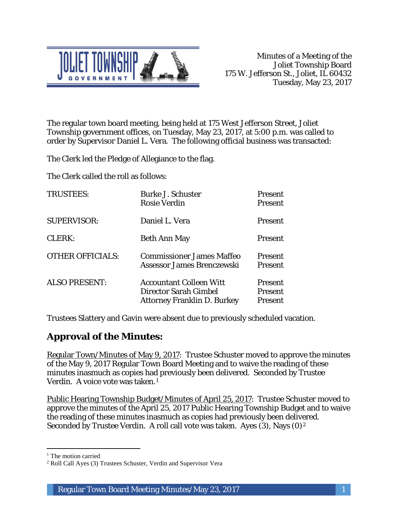

The regular town board meeting, being held at 175 West Jefferson Street, Joliet Township government offices, on Tuesday, May 23, 2017, at 5:00 p.m. was called to order by Supervisor Daniel L. Vera. The following official business was transacted:

The Clerk led the Pledge of Allegiance to the flag.

The Clerk called the roll as follows:

| <b>TRUSTEES:</b>        | <b>Burke J. Schuster</b><br><b>Rosie Verdin</b>                                                      | <b>Present</b><br><b>Present</b>     |
|-------------------------|------------------------------------------------------------------------------------------------------|--------------------------------------|
| <b>SUPERVISOR:</b>      | Daniel L. Vera                                                                                       | <b>Present</b>                       |
| <b>CLERK:</b>           | <b>Beth Ann May</b>                                                                                  | <b>Present</b>                       |
| <b>OTHER OFFICIALS:</b> | <b>Commissioner James Maffeo</b><br>Assessor James Brenczewski                                       | <b>Present</b><br><b>Present</b>     |
| <b>ALSO PRESENT:</b>    | <b>Accountant Colleen Witt</b><br><b>Director Sarah Gimbel</b><br><b>Attorney Franklin D. Burkey</b> | Present<br><b>Present</b><br>Present |

Trustees Slattery and Gavin were absent due to previously scheduled vacation.

# **Approval of the Minutes:**

Regular Town/Minutes of May 9, 2017: Trustee Schuster moved to approve the minutes of the May 9, 2017 Regular Town Board Meeting and to waive the reading of these minutes inasmuch as copies had previously been delivered. Seconded by Trustee Verdin. A voice vote was taken.1

Public Hearing Township Budget/Minutes of April 25, 2017: Trustee Schuster moved to approve the minutes of the April 25, 2017 Public Hearing Township Budget and to waive the reading of these minutes inasmuch as copies had previously been delivered. Seconded by Trustee Verdin. A roll call vote was taken. Ayes (3), Nays (0)<sup>2</sup>

I <sup>1</sup> The motion carried

<sup>2</sup> Roll Call Ayes (3) Trustees Schuster, Verdin and Supervisor Vera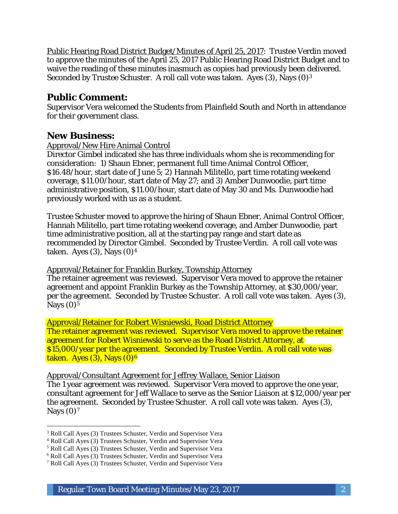Public Hearing Road District Budget/Minutes of April 25, 2017: Trustee Verdin moved to approve the minutes of the April 25, 2017 Public Hearing Road District Budget and to waive the reading of these minutes inasmuch as copies had previously been delivered. Seconded by Trustee Schuster. A roll call vote was taken. Ayes (3), Nays (0)3

## **Public Comment:**

Supervisor Vera welcomed the Students from Plainfield South and North in attendance for their government class.

## **New Business:**

### Approval/New Hire Animal Control

Director Gimbel indicated she has three individuals whom she is recommending for consideration: 1) Shaun Ebner, permanent full time Animal Control Officer, \$16.48/hour, start date of June 5; 2) Hannah Militello, part time rotating weekend coverage, \$11.00/hour, start date of May 27; and 3) Amber Dunwoodie, part time administrative position, \$11.00/hour, start date of May 30 and Ms. Dunwoodie had previously worked with us as a student.

Trustee Schuster moved to approve the hiring of Shaun Ebner, Animal Control Officer, Hannah Militello, part time rotating weekend coverage, and Amber Dunwoodie, part time administrative position, all at the starting pay range and start date as recommended by Director Gimbel. Seconded by Trustee Verdin. A roll call vote was taken. Ayes  $(3)$ , Nays  $(0)<sup>4</sup>$ 

Approval/Retainer for Franklin Burkey, Township Attorney

The retainer agreement was reviewed. Supervisor Vera moved to approve the retainer agreement and appoint Franklin Burkey as the Township Attorney, at \$30,000/year, per the agreement. Seconded by Trustee Schuster. A roll call vote was taken. Ayes (3), Nays  $(0)$ <sup>5</sup>

Approval/Retainer for Robert Wisniewski, Road District Attorney The retainer agreement was reviewed. Supervisor Vera moved to approve the retainer agreement for Robert Wisniewski to serve as the Road District Attorney, at \$15,000/year per the agreement. Seconded by Trustee Verdin. A roll call vote was taken. Ayes  $(3)$ , Nays  $(0)<sup>6</sup>$ 

Approval/Consultant Agreement for Jeffrey Wallace, Senior Liaison

The 1 year agreement was reviewed. Supervisor Vera moved to approve the one year, consultant agreement for Jeff Wallace to serve as the Senior Liaison at \$12,000/year per the agreement. Seconded by Trustee Schuster. A roll call vote was taken. Ayes (3), Nays  $(0)<sup>7</sup>$ 

I <sup>3</sup> Roll Call Ayes (3) Trustees Schuster, Verdin and Supervisor Vera

<sup>4</sup> Roll Call Ayes (3) Trustees Schuster, Verdin and Supervisor Vera

<sup>5</sup> Roll Call Ayes (3) Trustees Schuster, Verdin and Supervisor Vera

<sup>6</sup> Roll Call Ayes (3) Trustees Schuster, Verdin and Supervisor Vera

<sup>7</sup> Roll Call Ayes (3) Trustees Schuster, Verdin and Supervisor Vera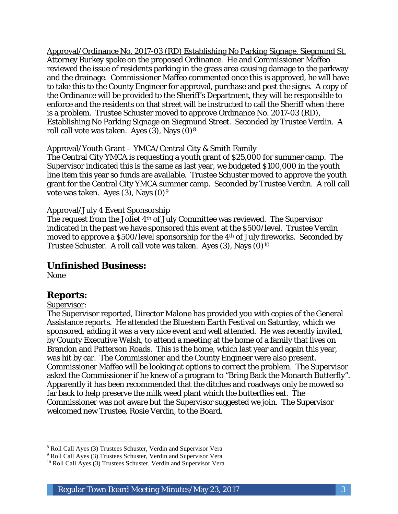Approval/Ordinance No. 2017-03 (RD) Establishing No Parking Signage, Siegmund St. Attorney Burkey spoke on the proposed Ordinance. He and Commissioner Maffeo reviewed the issue of residents parking in the grass area causing damage to the parkway and the drainage. Commissioner Maffeo commented once this is approved, he will have to take this to the County Engineer for approval, purchase and post the signs. A copy of the Ordinance will be provided to the Sheriff's Department, they will be responsible to enforce and the residents on that street will be instructed to call the Sheriff when there is a problem. Trustee Schuster moved to approve Ordinance No. 2017-03 (RD), Establishing No Parking Signage on Siegmund Street. Seconded by Trustee Verdin. A roll call vote was taken. Ayes  $(3)$ , Nays  $(0)^8$ 

### Approval/Youth Grant – YMCA/Central City & Smith Family

The Central City YMCA is requesting a youth grant of \$25,000 for summer camp. The Supervisor indicated this is the same as last year, we budgeted \$100,000 in the youth line item this year so funds are available. Trustee Schuster moved to approve the youth grant for the Central City YMCA summer camp. Seconded by Trustee Verdin. A roll call vote was taken. Ayes  $(3)$ , Nays  $(0)<sup>9</sup>$ 

### Approval/July 4 Event Sponsorship

The request from the Joliet 4th of July Committee was reviewed. The Supervisor indicated in the past we have sponsored this event at the \$500/level. Trustee Verdin moved to approve a \$500/level sponsorship for the 4th of July fireworks. Seconded by Trustee Schuster. A roll call vote was taken. Ayes (3), Nays (0)10

## **Unfinished Business:**

None

## **Reports:**

#### Supervisor:

The Supervisor reported, Director Malone has provided you with copies of the General Assistance reports. He attended the Bluestem Earth Festival on Saturday, which we sponsored, adding it was a very nice event and well attended. He was recently invited, by County Executive Walsh, to attend a meeting at the home of a family that lives on Brandon and Patterson Roads. This is the home, which last year and again this year, was hit by car. The Commissioner and the County Engineer were also present. Commissioner Maffeo will be looking at options to correct the problem. The Supervisor asked the Commissioner if he knew of a program to "Bring Back the Monarch Butterfly". Apparently it has been recommended that the ditches and roadways only be mowed so far back to help preserve the milk weed plant which the butterflies eat. The Commissioner was not aware but the Supervisor suggested we join. The Supervisor welcomed new Trustee, Rosie Verdin, to the Board.

I <sup>8</sup> Roll Call Ayes (3) Trustees Schuster, Verdin and Supervisor Vera

<sup>9</sup> Roll Call Ayes (3) Trustees Schuster, Verdin and Supervisor Vera

<sup>&</sup>lt;sup>10</sup> Roll Call Ayes (3) Trustees Schuster, Verdin and Supervisor Vera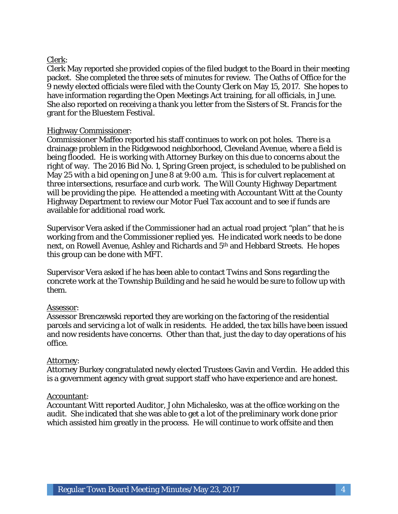## Clerk:

Clerk May reported she provided copies of the filed budget to the Board in their meeting packet. She completed the three sets of minutes for review. The Oaths of Office for the 9 newly elected officials were filed with the County Clerk on May 15, 2017. She hopes to have information regarding the Open Meetings Act training, for all officials, in June. She also reported on receiving a thank you letter from the Sisters of St. Francis for the grant for the Bluestem Festival.

### Highway Commissioner:

Commissioner Maffeo reported his staff continues to work on pot holes. There is a drainage problem in the Ridgewood neighborhood, Cleveland Avenue, where a field is being flooded. He is working with Attorney Burkey on this due to concerns about the right of way. The 2016 Bid No. 1, Spring Green project, is scheduled to be published on May 25 with a bid opening on June 8 at 9:00 a.m. This is for culvert replacement at three intersections, resurface and curb work. The Will County Highway Department will be providing the pipe. He attended a meeting with Accountant Witt at the County Highway Department to review our Motor Fuel Tax account and to see if funds are available for additional road work.

Supervisor Vera asked if the Commissioner had an actual road project "plan" that he is working from and the Commissioner replied yes. He indicated work needs to be done next, on Rowell Avenue, Ashley and Richards and 5th and Hebbard Streets. He hopes this group can be done with MFT.

Supervisor Vera asked if he has been able to contact Twins and Sons regarding the concrete work at the Township Building and he said he would be sure to follow up with them.

### Assessor:

Assessor Brenczewski reported they are working on the factoring of the residential parcels and servicing a lot of walk in residents. He added, the tax bills have been issued and now residents have concerns. Other than that, just the day to day operations of his office.

### Attorney:

Attorney Burkey congratulated newly elected Trustees Gavin and Verdin. He added this is a government agency with great support staff who have experience and are honest.

#### Accountant:

Accountant Witt reported Auditor, John Michalesko, was at the office working on the audit. She indicated that she was able to get a lot of the preliminary work done prior which assisted him greatly in the process. He will continue to work offsite and then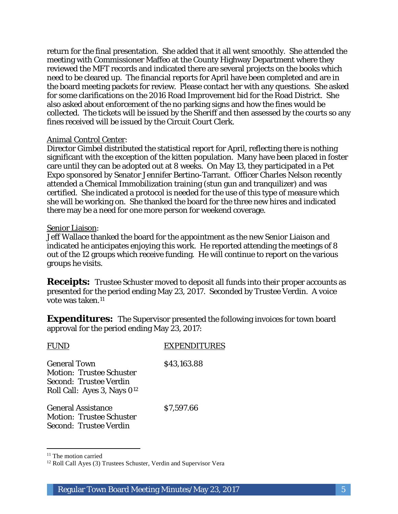return for the final presentation. She added that it all went smoothly. She attended the meeting with Commissioner Maffeo at the County Highway Department where they reviewed the MFT records and indicated there are several projects on the books which need to be cleared up. The financial reports for April have been completed and are in the board meeting packets for review. Please contact her with any questions. She asked for some clarifications on the 2016 Road Improvement bid for the Road District. She also asked about enforcement of the no parking signs and how the fines would be collected. The tickets will be issued by the Sheriff and then assessed by the courts so any fines received will be issued by the Circuit Court Clerk.

#### Animal Control Center:

Director Gimbel distributed the statistical report for April, reflecting there is nothing significant with the exception of the kitten population. Many have been placed in foster care until they can be adopted out at 8 weeks. On May 13, they participated in a Pet Expo sponsored by Senator Jennifer Bertino-Tarrant. Officer Charles Nelson recently attended a Chemical Immobilization training (stun gun and tranquilizer) and was certified. She indicated a protocol is needed for the use of this type of measure which she will be working on. She thanked the board for the three new hires and indicated there may be a need for one more person for weekend coverage.

#### Senior Liaison:

Jeff Wallace thanked the board for the appointment as the new Senior Liaison and indicated he anticipates enjoying this work. He reported attending the meetings of 8 out of the 12 groups which receive funding. He will continue to report on the various groups he visits.

**Receipts:** Trustee Schuster moved to deposit all funds into their proper accounts as presented for the period ending May 23, 2017. Seconded by Trustee Verdin. A voice vote was taken.<sup>11</sup>

**Expenditures:** The Supervisor presented the following invoices for town board approval for the period ending May 23, 2017:

| <b>FUND</b>                                                                                                                 | <b>EXPENDITURES</b> |
|-----------------------------------------------------------------------------------------------------------------------------|---------------------|
| <b>General Town</b><br><b>Motion: Trustee Schuster</b><br>Second: Trustee Verdin<br>Roll Call: Ayes 3, Nays 0 <sup>12</sup> | \$43,163.88         |
| <b>General Assistance</b><br><b>Motion: Trustee Schuster</b><br>Second: Trustee Verdin                                      | \$7,597.66          |

 $11$  The motion carried

I

<sup>&</sup>lt;sup>12</sup> Roll Call Ayes (3) Trustees Schuster, Verdin and Supervisor Vera